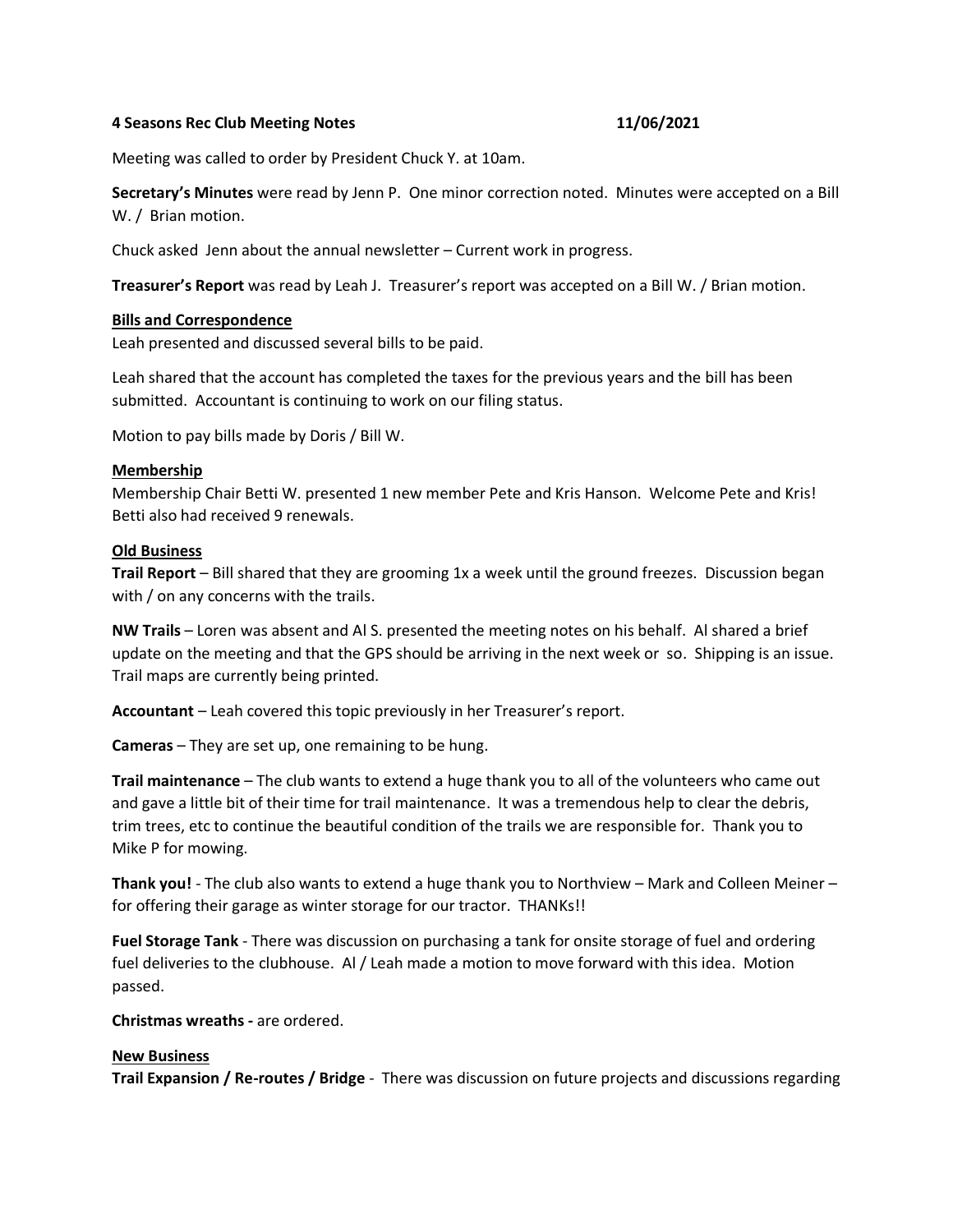### **4 Seasons Rec Club Meeting Notes 11/06/2021**

Meeting was called to order by President Chuck Y. at 10am.

**Secretary's Minutes** were read by Jenn P. One minor correction noted. Minutes were accepted on a Bill W. / Brian motion.

Chuck asked Jenn about the annual newsletter – Current work in progress.

**Treasurer's Report** was read by Leah J. Treasurer's report was accepted on a Bill W. / Brian motion.

#### **Bills and Correspondence**

Leah presented and discussed several bills to be paid.

Leah shared that the account has completed the taxes for the previous years and the bill has been submitted. Accountant is continuing to work on our filing status.

Motion to pay bills made by Doris / Bill W.

#### **Membership**

Membership Chair Betti W. presented 1 new member Pete and Kris Hanson. Welcome Pete and Kris! Betti also had received 9 renewals.

#### **Old Business**

**Trail Report** – Bill shared that they are grooming 1x a week until the ground freezes. Discussion began with / on any concerns with the trails.

**NW Trails** – Loren was absent and Al S. presented the meeting notes on his behalf. Al shared a brief update on the meeting and that the GPS should be arriving in the next week or so. Shipping is an issue. Trail maps are currently being printed.

**Accountant** – Leah covered this topic previously in her Treasurer's report.

**Cameras** – They are set up, one remaining to be hung.

**Trail maintenance** – The club wants to extend a huge thank you to all of the volunteers who came out and gave a little bit of their time for trail maintenance. It was a tremendous help to clear the debris, trim trees, etc to continue the beautiful condition of the trails we are responsible for. Thank you to Mike P for mowing.

**Thank you!** - The club also wants to extend a huge thank you to Northview – Mark and Colleen Meiner – for offering their garage as winter storage for our tractor. THANKs!!

**Fuel Storage Tank** - There was discussion on purchasing a tank for onsite storage of fuel and ordering fuel deliveries to the clubhouse. Al / Leah made a motion to move forward with this idea. Motion passed.

**Christmas wreaths -** are ordered.

#### **New Business**

**Trail Expansion / Re-routes / Bridge** - There was discussion on future projects and discussions regarding